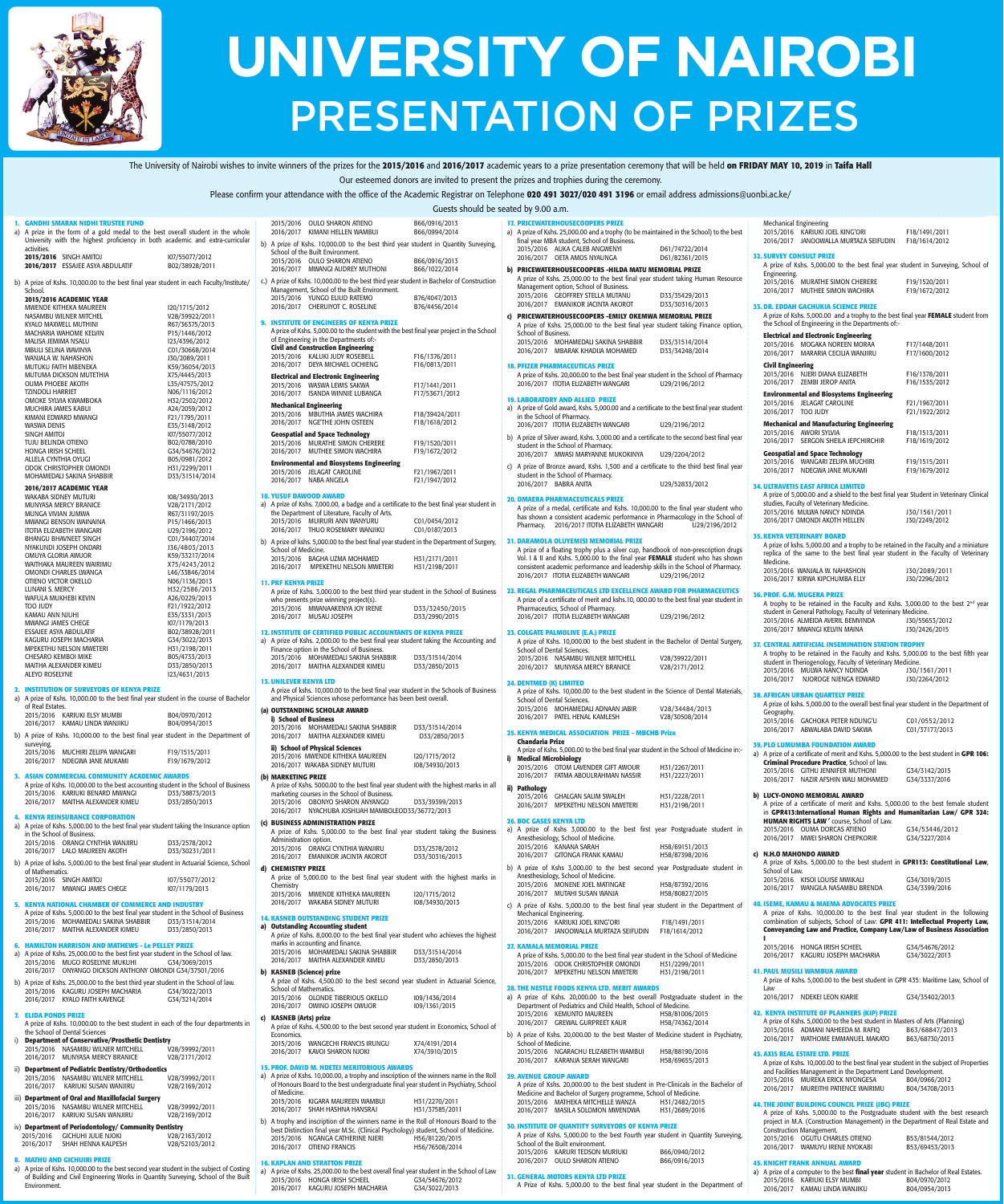

## **UNIVERSITY OF NAIROBI** PRESENTATION OF PRIZES

The University of Nairobi wishes to invite winners of the prizes for the 2015/2016 and 2016/2017 academic years to a prize presentation ceremony that will be held on FRIDAY MAY 10, 2019 in Taifa Hall Our esteemed donors are invited to present the prizes and trophies during the ceremony.

Please confirm your attendance with the office of the Academic Registrar on Telephone **020 491 3027/020 491 3196** or email address admissions@uonbi.ac.ke/

Guests should be seated by 9.00 a.m.

| <b>1. GANDHI SMARAK NIDHI TRUSTEE FUND</b><br>a) A prize in the form of a gold medal to the best overall student in the whole                                                 |                                  | 2015/2016 OULO SHARON ATIENO<br>2016/2017 KIMANI HELLEN WAMBUI                                                                                                              | B66/0916/2013<br>B66/0994/2014  | <b>17. PRICEWATERHOUSECOOPERS PRIZE</b><br>a) A prize of Kshs. 25,000.00 and a trophy (to be maintained in the School) to the best                                |                                  | <b>Mechanical Engineering</b><br>2015/2016 KARIUKI JOEL KING'ORI                                                                                             | F18/1491/2011                   |
|-------------------------------------------------------------------------------------------------------------------------------------------------------------------------------|----------------------------------|-----------------------------------------------------------------------------------------------------------------------------------------------------------------------------|---------------------------------|-------------------------------------------------------------------------------------------------------------------------------------------------------------------|----------------------------------|--------------------------------------------------------------------------------------------------------------------------------------------------------------|---------------------------------|
| University with the highest proficiency in both academic and extra-curricular<br>activities.                                                                                  |                                  | b) A prize of Kshs. 10,000.00 to the best third year student in Quantity Surveying,<br>School of the Built Environment.                                                     |                                 | final year MBA student, School of Business.<br>2015/2016 AUKA CALEB ANGWENYI                                                                                      | D61/74722/2014                   | 2016/2017 JANOOWALLA MURTAZA SEIFUDIN                                                                                                                        | F18/1614/2012                   |
| 2015/2016 SINGH AMITOJ<br>2016/2017 ESSAJEE ASYA ABDULATIF                                                                                                                    | 107/55077/2012<br>B02/38928/2011 | 2015/2016 OULO SHARON ATIENO<br>2016/2017 MWANGI AUDREY MUTHONI                                                                                                             | B66/0916/2013<br>B66/1022/2014  | 2016/2017 OETA AMOS NYAUNGA<br>b) PRICEWATERHOUSECOOPERS -HILDA MATU MEMORIAL PRIZE                                                                               | D61/82361/2015                   | <b>32. SURVEY CONSULT PRIZE</b><br>A prize of Kshs. 5,000.00 to the best final year student in Surveying, School of                                          |                                 |
| b) A prize of Kshs. 10,000.00 to the best final year student in each Faculty/Institute/                                                                                       |                                  | c.) A prize of Kshs. 10,000.00 to the best third year student in Bachelor of Construction                                                                                   |                                 | A prize of Kshs. 25,000.00 to the best final year student taking Human Resource                                                                                   |                                  | Engineering.<br>2015/2016 MURATHE SIMON CHERERE                                                                                                              | F19/1520/2011                   |
| School.<br>2015/2016 ACADEMIC YEAR                                                                                                                                            |                                  | Management, School of the Built Environment.<br>2015/2016 YUNGO ELIUD RATEMO                                                                                                | B76/4047/2013                   | Management option, School of Business.<br>2015/2016 GEOFFREY STELLA MUTANU                                                                                        | D33/35429/2013                   | 2016/2017 MUTHEE SIMON WACHIRA                                                                                                                               | F19/1672/2012                   |
| MWENDE KITHEKA MAUREEN<br>NASAMBU WILNER MITCHEL                                                                                                                              | 120/1715/2012<br>V28/39922/2011  | 2016/2017 CHERUIYOT C. ROSELINE                                                                                                                                             | B76/4456/2014                   | 2016/2017 EMANIKOR JACINTA AKOROT<br>c) PRICEWATERHOUSECOOPERS - EMILY OKEMWA MEMORIAL PRIZE                                                                      | D33/30316/2013                   | 33. DR. EDDAH GACHUKIA SCIENCE PRIZE<br>A prize of Kshs. 5,000.00 and a trophy to the best final year FEMALE student from                                    |                                 |
| KYALO MAXWELL MUTHINI                                                                                                                                                         | R67/36375/2013                   | 9. INSTITUTE OF ENGINEERS OF KENYA PRIZE<br>A prize of Kshs. 5,000.00 to the student with the best final year project in the School                                         |                                 | A prize of Kshs. 25,000.00 to the best final year student taking Finance option,                                                                                  |                                  | the School of Engineering in the Departments of:-                                                                                                            |                                 |
| MACHARIA WAHOME KELVIN<br>MALISA JEMIMA NSALU                                                                                                                                 | P15/1446/2012<br>123/4396/2012   | of Engineering in the Departments of:-<br><b>Civil and Construction Engineering</b>                                                                                         |                                 | School of Business.<br>2015/2016 MOHAMEDALI SAKINA SHABBIR                                                                                                        | D33/31514/2014                   | <b>Electrical and Electronic Engineering</b><br>2015/2016 MOGAKA NOREEN MORAA                                                                                | F17/1448/2011                   |
| MBULI SELINA WAVINYA<br>WANJALA W. NAHASHON                                                                                                                                   | C01/30668/2014<br>J30/2089/2011  | 2015/2016 KALUKI JUDY ROSEBELL                                                                                                                                              | F16/1376/2011                   | 2016/2017 MBARAK KHADIJA MOHAMED                                                                                                                                  | D33/34248/2014                   | 2016/2017 MARARIA CECILIA WANJIRU                                                                                                                            | F17/1600/2012                   |
| MUTUKU FAITH MBENEKA<br>MUTUMA DICKSON MUTETHIA                                                                                                                               | K59/36054/2013<br>X75/4445/2013  | 2016/2017 DEYA MICHAEL OCHIENG<br><b>Electrical and Electronic Engineering</b>                                                                                              | F16/0813/2011                   | <b>18. PFIZER PHARMACEUTICAS PRIZE</b><br>A prize of Kshs. 20,000.00 to the best final year student in the School of Pharmacy                                     |                                  | <b>Civil Engineering</b><br>2015/2016 NJERI DIANA ELIZABETH                                                                                                  | F16/1378/2011                   |
| OUMA PHOEBE AKOTH<br><b>TZINDOLI HARRIET</b>                                                                                                                                  | L35/47575/2012<br>N06/1116/2012  | 2015/2016 WASWA LEWIS SAKWA<br>2016/2017 ISANDA WINNIE LUBANGA                                                                                                              | F17/1441/2011<br>F17/53671/2012 | 2016/2017 ITOTIA ELIZABETH WANGARI                                                                                                                                | U29/2196/2012                    | 2016/2017 ZEMBI JEROP ANITA                                                                                                                                  | F16/1535/2012                   |
| OMOKE SYLVIA KWAMBOKA<br>MUCHIRA JAMES KABUI                                                                                                                                  | H32/2502/2012<br>A24/2059/2012   | <b>Mechanical Engineering</b>                                                                                                                                               |                                 | <b>19. LABORATORY AND ALLIED PRIZE</b><br>a) A prize of Gold award, Kshs. 5,000.00 and a certificate to the best final year student                               |                                  | <b>Environmental and Biosystems Engineering</b><br>2015/2016 JELAGAT CAROLINE                                                                                | F21/1967/2011                   |
| KIMANI EDWARD MWANGI                                                                                                                                                          | F21/1795/2011                    | 2015/2016 MBUTHIA JAMES WACHIRA<br>2016/2017 NGE'THE JOHN OSTEEN                                                                                                            | F18/39424/2011<br>F18/1618/2012 | in the School of Pharmacy.<br>2016/2017 ITOTIA ELIZABETH WANGARI                                                                                                  | U29/2196/2012                    | 2016/2017 TOO JUDY<br><b>Mechanical and Manufacturing Engineering</b>                                                                                        | F21/1922/2012                   |
| <b>WASWA DENIS</b><br>SINGH AMITOJ                                                                                                                                            | E35/3148/2012<br>107/55077/2012  | <b>Geospatial and Space Technology</b>                                                                                                                                      |                                 | b) A prize of Silver award, Kshs. 3,000.00 and a certificate to the second best final year                                                                        |                                  | 2015/2016 AWORI SYLVIA                                                                                                                                       | F18/1513/2011                   |
| TUJU BELINDA OTIENO<br>HONGA IRISH SCHEEL                                                                                                                                     | B02/0788/2010<br>G34/54676/2012  | 2015/2016 MURATHE SIMON CHERERE<br>2016/2017 MUTHEE SIMON WACHIRA                                                                                                           | F19/1520/2011<br>F19/1672/2012  | student in the School of Pharmacy.<br>2016/2017 MWASI MARYANNE MUKOKINYA                                                                                          | U29/2204/2012                    | 2016/2017 SERGON SHEILA JEPCHIRCHIR<br><b>Geospatial and Space Technology</b>                                                                                | F18/1619/2012                   |
| ALLELA CYNTHIA OYUGI<br>ODOK CHRISTOPHER OMONDI                                                                                                                               | B05/0981/2012<br>H31/2299/2011   | <b>Environmental and Biosystems Engineering</b><br>2015/2016 JELAGAT CAROLINE                                                                                               | F21/1967/2011                   | c) A prize of Bronze award, Kshs. 1,500 and a certificate to the third best final year                                                                            |                                  | 2015/2016 WANGARI ZELIPA MUCHIRI<br>2016/2017 NDEGWA JANE MUKAMI                                                                                             | F19/1515/2011<br>F19/1679/2012  |
| MOHAMEDALI SAKINA SHABBIR                                                                                                                                                     | D33/31514/2014                   | 2016/2017 NABA ANGELA                                                                                                                                                       | F21/1947/2012                   | student in the School of Pharmacy.<br>2016/2017 BABRA ANITA                                                                                                       | U29/52833/2012                   | <b>34. ULTRAVETIS EAST AFRICA LIMITED</b>                                                                                                                    |                                 |
| 2016/2017 ACADEMIC YEAR<br>WAKABA SIDNEY MUTURI                                                                                                                               | 108/34930/2013                   | <b>10. YUSUF DAWOOD AWARD</b>                                                                                                                                               |                                 | <b>20. OMAERA PHARMACEUTICALS PRIZE</b>                                                                                                                           |                                  | A prize of 5,000.00 and a shield to the best final year Student in Veterinary Clinical<br>studies, Faculty of Veterinary Medicine.                           |                                 |
| MUNYASA MERCY BRANICE<br>MUNGA VIVIAN JUMWA                                                                                                                                   | V28/2171/2012<br>R67/31197/2015  | a) A prize of Kshs. 7,000.00, a badge and a certificate to the best final year student in<br>the Department of Literature. Faculty of Arts.                                 |                                 | A prize of a medal, certificate and Kshs. 10,000.00 to the final year student who<br>has shown a consistent academic performance in Pharmacology in the School of |                                  | 2015/2016 MULWA NANCY NDINDA                                                                                                                                 | J30/1561/2011                   |
| MWANGI BENSON WAINAINA<br>ITOTIA ELIZABETH WANGARI                                                                                                                            | P15/1466/2013<br>U29/2196/2012   | 2015/2016 MUIRURI ANN WANYURU<br>2016/2017 THUO ROSEMARY WANJIKU                                                                                                            | C01/0454/2012<br>C01/0187/2013  | Pharmacy. 2016/2017 ITOTIA ELIZABETH WANGARI                                                                                                                      | U29/2196/2012                    | 2016/2017 OMONDI AKOTH HELLEN                                                                                                                                | J30/2249/2012                   |
| <b>BHANGU BHAVNEET SINGH</b><br>NYAKUNDI JOSEPH ONDARI                                                                                                                        | C01/34407/2014<br>J36/4803/2013  | b) A prize of kshs. 5,000.00 to the best final year student in the Department of Surgery,<br>School of Medicine.                                                            |                                 | 21. DARAMOLA OLUYEMISI MEMORIAL PRIZE<br>A prize of a floating trophy plus a silver cup, handbook of non-prescription drugs                                       |                                  | <b>35. KENYA VETERINARY BOARD</b><br>A prize of kshs. 5,000.00 and a trophy to be retained in the Faculty and a miniature                                    |                                 |
| OMUYA GLORIA AWUOR<br>WAITHAKA MAUREEN WAIRIMU                                                                                                                                | K59/33217/2014<br>X75/4243/2012  | 2015/2016 BAGHA UZMA MOHAMED                                                                                                                                                | H31/2171/2011                   | Vol. I & II and Kshs. 5,000.00 to the final year FEMALE student who has shown                                                                                     |                                  | replica of the same to the best final year student in the Faculty of Veterinary<br>Medicine.                                                                 |                                 |
| OMONDI CHARLES LWANGA                                                                                                                                                         | L46/33846/2014<br>N06/1136/2013  | 2016/2017 MPEKETHU NELSON MWETERI                                                                                                                                           | H31/2198/2011                   | consistent academic performance and leadership skills in the School of Pharmacy.<br>2016/2017 ITOTIA ELIZABETH WANGARI                                            | U29/2196/2012                    | 2015/2016 WANJALA W. NAHASHON<br>2016/2017 KIRWA KIPCHUMBA ELLY                                                                                              | J30/2089/2011<br>J30/2296/2012  |
| OTIENO VICTOR OKELLO<br>LUNANI S. MERCY                                                                                                                                       | H32/2586/2013                    | <b>11. PKF KENYA PRIZE</b><br>A prize of Kshs. 3,000.00 to the best third year student in the School of Business                                                            |                                 | 22. REGAL PHARMACEUTICALS LTD EXCELLENCE AWARD FOR PHARMACEUTICS                                                                                                  |                                  | <b>36. PROF. G.M. MUGERA PRIZE</b>                                                                                                                           |                                 |
| WAFULA MUKHEBI KEVIN<br><b>TOO JUDY</b>                                                                                                                                       | A26/0229/2013<br>F21/1922/2012   | who presents prize winning project(s).<br>2015/2016 MWANAAKENYA JOY IRENE                                                                                                   | D33/32450/2015                  | A prize of a certificate of merit and kshs.10, 000.00 to the best final year student in<br>Pharmaceutics, School of Pharmacy.                                     |                                  | A trophy to be retained in the Faculty and Kshs. 3,000.00 to the best 2 <sup>nd</sup> year<br>student in General Pathology, Faculty of Veterinary Medicine.  |                                 |
| KAMAU ANN NJUHI<br>MWANGI JAMES CHEGE                                                                                                                                         | E35/3331/2013<br>107/1179/2013   | 2016/2017 MUSAU JOSEPH                                                                                                                                                      | D33/2990/2015                   | 2016/2017 ITOTIA ELIZABETH WANGARI                                                                                                                                | U29/2196/2012                    | 2015/2016 ALMEIDA AVERIL BEMVINDA                                                                                                                            | J30/55653/2012                  |
| ESSAJEE ASYA ABDULATIF<br>KAGURU JOSEPH MACHARIA                                                                                                                              | B02/38928/2011<br>G34/3022/2013  | 12. INSTITUTE OF CERTIFIED PUBLIC ACCOUNTANTS OF KENYA PRIZE<br>a) A prize of Kshs. 2,000.00 to the best final year student taking the Accounting and                       |                                 | 23. COLGATE PALMOLIVE (E.A.) PRIZE<br>A prize of Kshs. 10,000.00 to the best student in the Bachelor of Dental Surgery,                                           |                                  | 2016/2017 MWANGI KELVIN MAINA                                                                                                                                | J30/2426/2015                   |
| MPEKETHU NELSON MWETERI<br>CHESARO KEMBOI MIKE                                                                                                                                | H31/2198/2011<br>B05/4733/2013   | Finance option in the School of Business.<br>2015/2016 MOHAMEDALI SAKINA SHABBIR                                                                                            | D33/31514/2014                  | School of Dental Sciences.<br>2015/2016 NASAMBU WILNER MITCHELL                                                                                                   | V28/39922/2011                   | 37. CENTRAL ARTIFICIAL INSEMINATION STATION TROPHY<br>A trophy to be retained in the Faculty and Kshs. 5,000.00 to the best fifth year                       |                                 |
| MAITHA ALEXANDER KIMEU<br>ALEYO ROSELYNE                                                                                                                                      | D33/2850/2013<br>123/4631/2013   | 2016/2017 MAITHA ALEXANDER KIMEU                                                                                                                                            | D33/2850/2013                   | 2016/2017 MUNYASA MERCY BRANICE                                                                                                                                   | V28/2171/2012                    | student in Theriogenology, Faculty of Veterinary Medicine.<br>2015/2016 MULWA NANCY NDINDA                                                                   | J30/1561/2011                   |
| 2. INSTITUTION OF SURVEYORS OF KENYA PRIZE                                                                                                                                    |                                  | <b>13. UNILEVER KENYA LTD</b><br>A prize of kshs. 10,000.00 to the best final year student in the Schools of Business                                                       |                                 | 24. DENTMED (K) LIMITED                                                                                                                                           |                                  | 2016/2017 NJOROGE NJENGA EDWARD                                                                                                                              | J30/2264/2012                   |
| a) A prize of Kshs. 10,000.00 to the best final year student in the course of Bachelor<br>of Real Estates.                                                                    |                                  | and Physical Sciences whose performance has been best overall.                                                                                                              |                                 | A prize of Kshs. 10,000.00 to the best student in the Science of Dental Materials,<br>School of Dental Sciences.                                                  |                                  | <b>38. AFRICAN URBAN QUARTELY PRIZE</b>                                                                                                                      |                                 |
|                                                                                                                                                                               |                                  |                                                                                                                                                                             |                                 |                                                                                                                                                                   |                                  |                                                                                                                                                              |                                 |
| 2015/2016 KARIUKI ELSY MUMBI                                                                                                                                                  | B04/0970/2012                    | (a) OUTSTANDING SCHOLAR AWARD<br>i) School of Business                                                                                                                      |                                 | 2015/2016 MOHAMEDALI ADNAAN JABIR<br>2016/2017 PATEL HENAL KAMLESH                                                                                                | V28/34484/2013<br>V28/30508/2014 | A prize of kshs. 5,000.00 to the overall best final year student in the Department of<br>Geography.                                                          |                                 |
| 2016/2017 KAMAU LINDA WANJIKU                                                                                                                                                 | B04/0954/2013                    | 2015/2016 MOHAMEDALI SAKINA SHABBIR                                                                                                                                         | D33/31514/2014                  | 25. KENYA MEDICAL ASSOCIATION PRIZE - MBCHB Prize                                                                                                                 |                                  | 2015/2016 GACHOKA PETER NDUNG'U<br>2016/2017 ABWALABA DAVID SAKWA                                                                                            | C01/0552/2012<br>C01/37177/2013 |
| b) A prize of Kshs. 10,000.00 to the best final year student in the Department of<br>surveying.                                                                               |                                  | 2016/2017 MAITHA ALEXANDER KIMEU<br>ii) School of Physical Sciences                                                                                                         | D33/2850/2013                   | <b>Chandaria Prize</b><br>A prize of Kshs. 5,000.00 to the best final year student in the School of Medicine in:-                                                 |                                  | <b>39. PLO LUMUMBA FOUNDATION AWARD</b>                                                                                                                      |                                 |
| 2015/2016 MUCHIRI ZELIPA WANGARI<br>2016/2017 NDEGWA JANE MUKAMI                                                                                                              | F19/1515/2011<br>F19/1679/2012   | 2015/2016 MWENDE KITHEKA MAUREEN<br>2016/2017 WAKABA SIDNEY MUTURI                                                                                                          | 120/1715/2012<br>108/34930/2013 | i) Medical Microbiology<br>2015/2016 OTOM LAVENDER GIFT AWOUR                                                                                                     |                                  | a) A prize of a certificate of merit and Kshs. 5,000.00 to the best student in GPR 106:<br>Criminal Procedure Practice, School of law.                       |                                 |
| 3. ASIAN COMMERCIAL COMMUNITY ACADEMIC AWARDS                                                                                                                                 |                                  | (b) MARKETING PRIZE                                                                                                                                                         |                                 | 2016/2017 FATMA ABOULRAHMAN NASSIR                                                                                                                                | H31/2267/2011<br>H31/2227/2011   | 2015/2016 GITHU JENNIFER MUTHONI<br>2016/2017 NAZIR AFSHIN WALI MOHAMED                                                                                      | G34/3142/2015<br>G34/3337/2016  |
| A prize of Kshs. 10,000.00 to the best accounting student in the School of Business<br>2015/2016 KARIUKI BENARD MWANGI                                                        | D33/38873/2013                   | A prize of Kshs. 5000.00 to the best final year student with the highest marks in all<br>marketing courses in the School of Business                                        |                                 | ii) Pathology<br>2015/2016 GHALGAN SALIM SWALEH                                                                                                                   | H31/2228/2011                    | b) LUCY-ONONO MEMORIAL AWARD                                                                                                                                 |                                 |
| 2016/2017 MAITHA ALEXANDER KIMEU                                                                                                                                              | D33/2850/2013                    | 2015/2016 OBONYO SHARON ANYANGO<br>2016/2017 NYACHUBA JOSHUAH MAMBOLEOD33/36772/2013                                                                                        | D33/39399/2013                  | 2016/2017 MPEKETHU NELSON MWETERI                                                                                                                                 | H31/2198/2011                    | A prize of a certificate of merit and Kshs. 5,000.00 to the best female student<br>in GPR413:International Human Rights and Humanitarian Law/ GPR 324:       |                                 |
| <b>4. KENYA REINSURANCE CORPORATION</b><br>a) A prize of Kshs. 5,000.00 to the best final year student taking the Insurance option                                            |                                  | (c) BUSINESS ADMINISTRATION PRIZE                                                                                                                                           |                                 | <b>26. BOC GASES KENYA LTD</b><br>a) A prize of Kshs 3,000.00 to the best first year Postgraduate student in                                                      |                                  | <b>HUMAN RIGHTS LAW '</b> course. School of Law.<br>2015/2016 OUMA DORCAS ATIENO                                                                             | G34/53446/2012                  |
| in the School of Business.<br>2015/2016 ORANGI CYNTHIA WANJIRU                                                                                                                | D33/2578/2012                    | A prize of Kshs. 5,000.00 to the best final year student taking the Business<br>Administration option.                                                                      |                                 | Anesthesiology, School of Medicine.                                                                                                                               |                                  | 2016/2017 MWEI SHARON CHEPKORIR                                                                                                                              | G34/3227/2014                   |
| 2016/2017 LALO MAUREEN AKOTH                                                                                                                                                  | D33/30231/2011                   | 2015/2016 ORANGI CYNTHIA WANJIRU<br>2016/2017 EMANIKOR JACINTA AKOROT                                                                                                       | D33/2578/2012<br>D33/30316/2013 | 2015/2016 KANANA SARAH<br>2016/2017 GITONGA FRANK KAMAU                                                                                                           | H58/69151/2013<br>H58/87398/2016 | c) N.H.O MAHONDO AWARD                                                                                                                                       |                                 |
| b) A prize of kshs. 5,000.00 to the best final year student in Actuarial Science, School<br>of Mathematics.                                                                   |                                  | d) CHEMISTRY PRIZE<br>A prize of 5,000.00 to the best final year student with the highest marks in                                                                          |                                 | b) A prize of Kshs 3,000.00 to the best second year Postgraduate student in<br>Anesthesiology, School of Medicine.                                                |                                  | A prize of Kshs. 5,000.00 to the best student in <b>GPR113: Constitutional Law</b> ,<br>School of Law.                                                       |                                 |
| 2015/2016 SINGH AMITOJ<br>2016/2017 MWANGI JAMES CHEGE                                                                                                                        | 107/55077/2012<br>107/1179/2013  | Chemistry<br>2015/2016 MWENDE KITHEKA MAUREEN                                                                                                                               | 120/1715/2012                   | 2015/2016 MONENE JOEL MATINGAE<br>2016/2017 MUTAHI SUSAN WANJA                                                                                                    | H58/87392/2016<br>H58/80827/2015 | 2015/2016 KISOI LOUISE MWIKALI<br>2016/2017 WANGILA NASAMBU BRENDA                                                                                           | G34/3019/2015<br>G34/3399/2016  |
| 5. KENYA NATIONAL CHAMBER OF COMMERCE AND INDUSTRY                                                                                                                            |                                  | 2016/2017 WAKABA SIDNEY MUTURI                                                                                                                                              | 108/34930/2013                  | c) A prize of Kshs. 5,000.00 to the best final year student in the Department of                                                                                  |                                  | 40. ISEME, KAMAU & MAEMA ADVOCATES PRIZE                                                                                                                     |                                 |
| A prize of Kshs. 5,000.00 to the best final year student in the School of Business<br>2015/2016 MOHAMEDALI SAKINA SHABBIR                                                     | D33/31514/2014                   | <b>14. KASNEB OUTSTANDING STUDENT PRIZE</b>                                                                                                                                 |                                 | Mechanical Engineering.<br>2015/2016 KARIUKI JOEL KING'ORI                                                                                                        | F18/1491/2011                    | A prize of Kshs. 10,000.00 to the best final year student in the following<br>combination of subjects, School of Law: GPR 411: Intellectual Property Law,    |                                 |
| 2016/2017 MAITHA ALEXANDER KIMEU                                                                                                                                              | D33/2850/2013                    | a) Outstanding Accounting student<br>A prize of Kshs. 8,000.00 to the best final year student who achieves the highest                                                      |                                 | 2016/2017 JANOOWALLA MURTAZA SEIFUDIN                                                                                                                             | F18/1614/2012                    | Conveyancing Law and Practice, Company Law/Law of Business Association                                                                                       |                                 |
| 6. HAMILTON HARRISON AND MATHEWS - Le PELLEY PRIZE<br>a) A prize of Kshs. 25,000.00 to the best first year student in the School of law.                                      |                                  | marks in accounting and finance.<br>2015/2016 MOHAMEDALI SAKINA SHABBIR                                                                                                     | D33/31514/2014                  | <b>27. KAMALA MEMORIAL PRIZE</b><br>A prize of Kshs. 5,000.00 to the best final year student in the School of Medicine                                            |                                  | 2015/2016 HONGA IRISH SCHEEL<br>2016/2017 KAGURU JOSEPH MACHARIA                                                                                             | G34/54676/2012<br>G34/3022/2013 |
| 2015/2016 MUGO ROSELYNE MUKUHI<br>2016/2017 ONYANGO DICKSON ANTHONY OMONDI G34/37501/2016                                                                                     | G34/3069/2015                    | 2016/2017 MAITHA ALEXANDER KIMEU<br>b) KASNEB (Science) prize                                                                                                               | D33/2850/2013                   | 2015/2016 ODOK CHRISTOPHER OMONDI<br>2016/2017 MPEKETHU NELSON MWETERI                                                                                            | H31/2299/2011<br>H31/2198/2011   | <b>41. PAUL MUSILI WAMBUA AWARD</b>                                                                                                                          |                                 |
| b) A prize of Kshs. 25,000.00 to the best third year student in the School of law.                                                                                            |                                  | A prize of Kshs. 4,500.00 to the best second year student in Actuarial Science,<br><b>School of Mathematics.</b>                                                            |                                 | 28. THE NESTLE FOODS KENYA LTD. MERIT AWARDS                                                                                                                      |                                  | A prize of Kshs. 5,000.00 to the best student in GPR 435: Maritime Law, School of<br>Law                                                                     |                                 |
| 2015/2016 KAGURU JOSEPH MACHARIA<br>2016/2017 KYALO FAITH KAVENGE                                                                                                             | G34/3022/2013<br>G34/3214/2014   | 2015/2016 OLONDE TIBERIOUS OKELLO                                                                                                                                           | 109/1436/2014                   | a) A prize of Kshs. 20,000.00 to the best overall Postgraduate student in the                                                                                     |                                  | 2016/2017 NDEKEI LEON KIARIE                                                                                                                                 | G34/35402/2013                  |
| 7. ELIDA PONDS PRIZE                                                                                                                                                          |                                  | 2016/2017 OWINO JOSEPH OWUOR<br>c) KASNEB (Arts) prize                                                                                                                      | 109/1361/2015                   | Department of Pediatrics and Child Health, School of Medicine.<br>2015/2016 KEMUNTO MAUREEN                                                                       | H58/81006/2015                   | 42. KENYA INSTITUTE OF PLANNERS (KIP) PRIZE                                                                                                                  |                                 |
| A prize of Kshs. 10,000.00 to the best student in each of the four departments in<br>the School of Dental Sciences                                                            |                                  | A prize of Kshs. 4,500.00 to the best second year student in Economics, School of<br>Economics.                                                                             |                                 | 2016/2017 GREWAL GURPREET KAUR<br>b) A prize of Kshs. 20,000.00 to the best Master of Medicine student in Psychiatry,                                             | H58/74362/2014                   | A prize of Kshs. 5,000.00 to the best student in Masters of Arts (Planning)<br>2015/2016 ADMANI NAHEEDA M. RAFIQ                                             | B63/68847/2013                  |
| i) Department of Conservative/Prosthetic Dentistry<br>2015/2016 NASAMBU WILNER MITCHELL                                                                                       | V28/39992/2011                   | 2015/2016 WANGECHI FRANCIS IRUNGU<br>2016/2017 KAVOI SHARON NJOKI                                                                                                           | X74/4191/2014<br>X74/3910/2015  | School of Medicine.<br>2015/2016 NGARACHU ELIZABETH WAMBUI                                                                                                        | H58/88190/2016                   | 2016/2017 WATHOME EMMANUEL MAKATO                                                                                                                            | B63/68730/2013                  |
| 2016/2017 MUNYASA MERCY BRANICE                                                                                                                                               | V28/2171/2012                    | <b>15. PROF. DAVID M. NDETEI MERITORIOUS AWARDS</b>                                                                                                                         |                                 | 2016/2017 KARANJA SERAH WANGARI                                                                                                                                   | H58/69655/2013                   | <b>43. AXIS REAL ESTATE LTD. PRIZE</b><br>A prize of Kshs. 10,000.00 to the best final year student in the subject of Properties                             |                                 |
| ii) Department of Pediatric Dentistry/Orthodontics<br>2015/2016 NASAMBU WILNER MITCHELL                                                                                       | V28/39992/2011                   | a) A prize of Kshs. 10,000.00, a trophy and inscription of the winners name in the Roll                                                                                     |                                 | <b>29. AVENUE GROUP AWARD</b>                                                                                                                                     |                                  | and Facilities Management in the Department Land Development.<br>2015/2016 MUREKA ERICK NYONGESA                                                             | B04/0966/2012                   |
| 2016/2017 KARIUKI SUSAN WANJIRU<br>iii) Department of Oral and Maxillofacial Surgery                                                                                          | V28/2169/2012                    | of Honours Board to the best undergraduate final year student in Psychiatry, School<br>of Medicine.                                                                         |                                 | A prize of Kshs. 20,000.00 to the best student in Pre-Clinicals in the Bachelor of<br>Medicine and Bachelor of Surgery programme, School of Medicine.             |                                  | 2016/2017 MUREITHI PATIENCE WAIRIMU                                                                                                                          | B04/34708/2013                  |
| 2015/2016 NASAMBU WILNER MITCHELL                                                                                                                                             | V28/39992/2011                   | 2015/2016 KIGARA MAUREEN WAMBUI<br>2016/2017 SHAH HASHNA HANSRAJ                                                                                                            | H31/2270/2011<br>H31/37585/2011 | 2015/2016 MATHEKA MITCHELLE WANZA<br>2016/2017 MASILA SOLOMON MWENDWA                                                                                             | H31/2482/2015<br>H31/2689/2016   | 44. THE JOINT BUILDING COUNCIL PRIZE (JBC) PRIZE<br>A prize of Kshs. 5,000.00 to the Postgraduate student with the best research                             |                                 |
| 2016/2017 KARIUKI SUSAN WANJIRU<br>iv) Department of Periodontology/ Community Dentistry                                                                                      | V28/2169/2012                    | b) A trophy and inscription of the winners name in the Roll of Honours Board to the<br>best Distinction final year M.Sc. (Clinical Psychology) student, School of Medicine. |                                 | 30. INSTITUTE OF QUANTITY SURVEYORS OF KENYA PRIZE                                                                                                                |                                  | project in M.A. (Construction Management) in the Department of Real Estate and<br><b>Construction Management.</b>                                            |                                 |
| 2015/2016 GICHUHI JULIE NJOKI<br>2016/2017 SHAH HENNA KALPESH                                                                                                                 | V28/2163/2012<br>V28/52103/2012  | 2015/2016 NGANGA CATHERINE NJERI                                                                                                                                            | H56/81220/2015                  | A prize of Kshs. 5,000.00 to the best Fourth year student in Quantity Surveying,<br>School of the Built environment.                                              |                                  | 2015/2016 OGUTU CHARLES OTIENO                                                                                                                               | B53/81544/2012                  |
| 8. MATHU AND GICHUIRI PRIZE                                                                                                                                                   |                                  | 2016/2017 OTIENO FRANCIS                                                                                                                                                    | H56/76508/2014                  | 2015/2016 KARURI TEDSON MURIUKI<br>2016/2017 OULO SHARON ATIENO                                                                                                   | B66/0940/2012<br>B66/0916/2013   | 2016/2017 WAMUYU IRENE NYOKABI                                                                                                                               | B53/69453/2013                  |
| a) A prize of Kshs. 10,000.00 to the best second year student in the subject of Costing<br>of Building and Civil Engineering Works in Quantity Surveying, School of the Built |                                  | <b>16. KAPLAN AND STRATTON PRIZE</b><br>a) A prize of Kshs. 25,000.00 to the best overall final year student in the School of Law<br>2015/2016 HONGA IRISH SCHEEL           | G34/54676/2012                  | 31. GENERAL MOTORS KENYA LTD PRIZE<br>A Prize of Kshs. 5,000.00 to the best final year student in the Department of                                               |                                  | <b>45. KNIGHT FRANK ANNUAL AWARD</b><br>a) A prize of a computer to the best final year student in Bachelor of Real Estates.<br>2015/2016 KARIUKI ELSY MUMBI | B04/0970/2012                   |